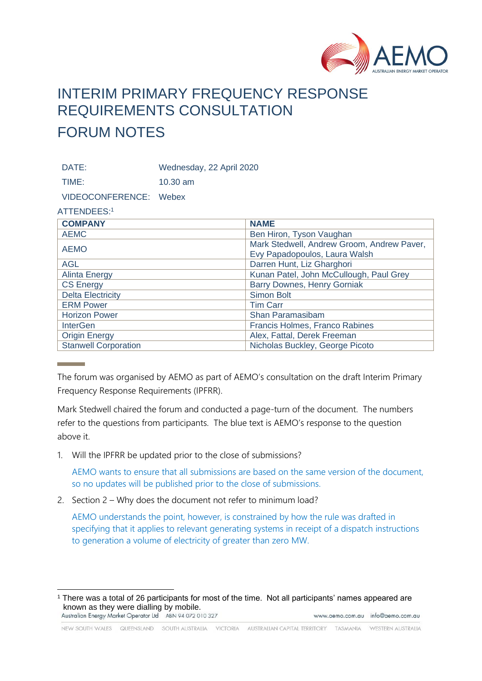

## INTERIM PRIMARY FREQUENCY RESPONSE REQUIREMENTS CONSULTATION FORUM NOTES

DATE: Wednesday, 22 April 2020

TIME: 10.30 am

VIDEOCONFERENCE: Webex

## ATTENDEES:<sup>1</sup>

| <b>COMPANY</b>              | <b>NAME</b>                                                                 |
|-----------------------------|-----------------------------------------------------------------------------|
| <b>AEMC</b>                 | Ben Hiron, Tyson Vaughan                                                    |
| <b>AEMO</b>                 | Mark Stedwell, Andrew Groom, Andrew Paver,<br>Evy Papadopoulos, Laura Walsh |
| <b>AGL</b>                  | Darren Hunt, Liz Gharghori                                                  |
| <b>Alinta Energy</b>        | Kunan Patel, John McCullough, Paul Grey                                     |
| <b>CS Energy</b>            | <b>Barry Downes, Henry Gorniak</b>                                          |
| <b>Delta Electricity</b>    | Simon Bolt                                                                  |
| <b>ERM Power</b>            | <b>Tim Carr</b>                                                             |
| <b>Horizon Power</b>        | Shan Paramasibam                                                            |
| <b>InterGen</b>             | Francis Holmes, Franco Rabines                                              |
| <b>Origin Energy</b>        | Alex, Fattal, Derek Freeman                                                 |
| <b>Stanwell Corporation</b> | Nicholas Buckley, George Picoto                                             |

The forum was organised by AEMO as part of AEMO's consultation on the draft Interim Primary Frequency Response Requirements (IPFRR).

Mark Stedwell chaired the forum and conducted a page-turn of the document. The numbers refer to the questions from participants. The blue text is AEMO's response to the question above it.

1. Will the IPFRR be updated prior to the close of submissions?

AEMO wants to ensure that all submissions are based on the same version of the document, so no updates will be published prior to the close of submissions.

2. Section 2 – Why does the document not refer to minimum load?

AEMO understands the point, however, is constrained by how the rule was drafted in specifying that it applies to relevant generating systems in receipt of a dispatch instructions to generation a volume of electricity of greater than zero MW.

<sup>1</sup> There was a total of 26 participants for most of the time. Not all participants' names appeared are known as they were dialling by mobile.<br>Australian Energy Market Operator Ltd ABN 94 072 010 327 www.aemo.com.au info@aemo.com.au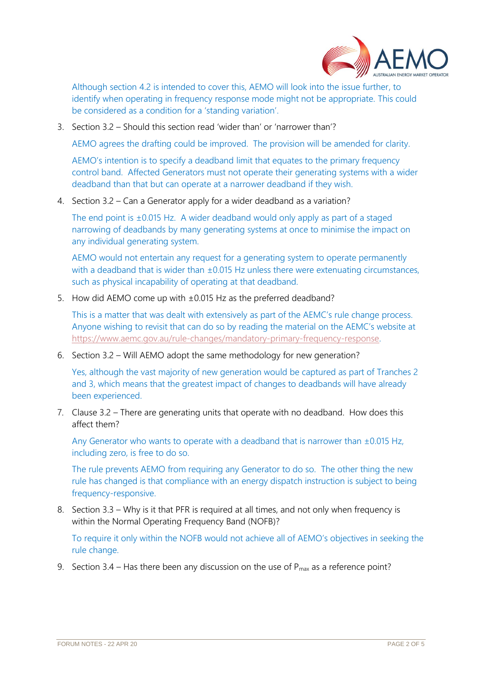

Although section 4.2 is intended to cover this, AEMO will look into the issue further, to identify when operating in frequency response mode might not be appropriate. This could be considered as a condition for a 'standing variation'.

3. Section 3.2 – Should this section read 'wider than' or 'narrower than'?

AEMO agrees the drafting could be improved. The provision will be amended for clarity.

AEMO's intention is to specify a deadband limit that equates to the primary frequency control band. Affected Generators must not operate their generating systems with a wider deadband than that but can operate at a narrower deadband if they wish.

4. Section 3.2 – Can a Generator apply for a wider deadband as a variation?

The end point is ±0.015 Hz. A wider deadband would only apply as part of a staged narrowing of deadbands by many generating systems at once to minimise the impact on any individual generating system.

AEMO would not entertain any request for a generating system to operate permanently with a deadband that is wider than ±0.015 Hz unless there were extenuating circumstances, such as physical incapability of operating at that deadband.

5. How did AEMO come up with ±0.015 Hz as the preferred deadband?

This is a matter that was dealt with extensively as part of the AEMC's rule change process. Anyone wishing to revisit that can do so by reading the material on the AEMC's website at [https://www.aemc.gov.au/rule-changes/mandatory-primary-frequency-response.](https://www.aemc.gov.au/rule-changes/mandatory-primary-frequency-response)

6. Section 3.2 – Will AEMO adopt the same methodology for new generation?

Yes, although the vast majority of new generation would be captured as part of Tranches 2 and 3, which means that the greatest impact of changes to deadbands will have already been experienced.

7. Clause 3.2 – There are generating units that operate with no deadband. How does this affect them?

Any Generator who wants to operate with a deadband that is narrower than ±0.015 Hz, including zero, is free to do so.

The rule prevents AEMO from requiring any Generator to do so. The other thing the new rule has changed is that compliance with an energy dispatch instruction is subject to being frequency-responsive.

8. Section 3.3 – Why is it that PFR is required at all times, and not only when frequency is within the Normal Operating Frequency Band (NOFB)?

To require it only within the NOFB would not achieve all of AEMO's objectives in seeking the rule change.

9. Section 3.4 – Has there been any discussion on the use of  $P_{max}$  as a reference point?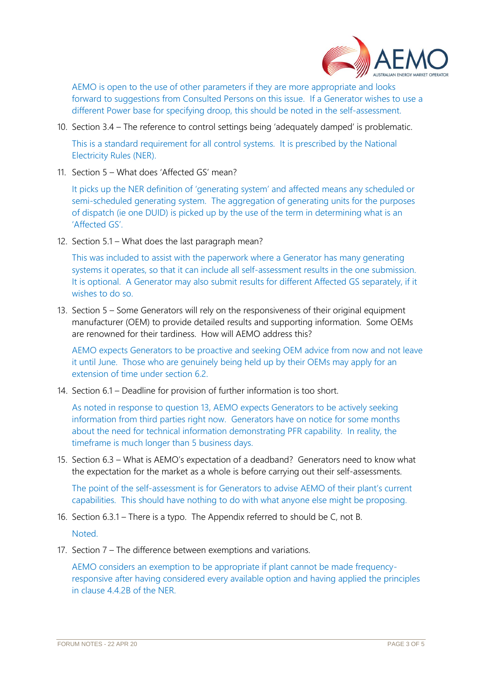

AEMO is open to the use of other parameters if they are more appropriate and looks forward to suggestions from Consulted Persons on this issue. If a Generator wishes to use a different Power base for specifying droop, this should be noted in the self-assessment.

10. Section 3.4 – The reference to control settings being 'adequately damped' is problematic.

This is a standard requirement for all control systems. It is prescribed by the National Electricity Rules (NER).

11. Section 5 – What does 'Affected GS' mean?

It picks up the NER definition of 'generating system' and affected means any scheduled or semi-scheduled generating system. The aggregation of generating units for the purposes of dispatch (ie one DUID) is picked up by the use of the term in determining what is an 'Affected GS'.

12. Section 5.1 – What does the last paragraph mean?

This was included to assist with the paperwork where a Generator has many generating systems it operates, so that it can include all self-assessment results in the one submission. It is optional. A Generator may also submit results for different Affected GS separately, if it wishes to do so.

13. Section 5 – Some Generators will rely on the responsiveness of their original equipment manufacturer (OEM) to provide detailed results and supporting information. Some OEMs are renowned for their tardiness. How will AEMO address this?

AEMO expects Generators to be proactive and seeking OEM advice from now and not leave it until June. Those who are genuinely being held up by their OEMs may apply for an extension of time under section 6.2.

14. Section 6.1 – Deadline for provision of further information is too short.

As noted in response to question 13, AEMO expects Generators to be actively seeking information from third parties right now. Generators have on notice for some months about the need for technical information demonstrating PFR capability. In reality, the timeframe is much longer than 5 business days.

15. Section 6.3 – What is AEMO's expectation of a deadband? Generators need to know what the expectation for the market as a whole is before carrying out their self-assessments.

The point of the self-assessment is for Generators to advise AEMO of their plant's current capabilities. This should have nothing to do with what anyone else might be proposing.

- 16. Section 6.3.1 There is a typo. The Appendix referred to should be C, not B. Noted.
- 17. Section 7 The difference between exemptions and variations.

AEMO considers an exemption to be appropriate if plant cannot be made frequencyresponsive after having considered every available option and having applied the principles in clause 4.4.2B of the NER.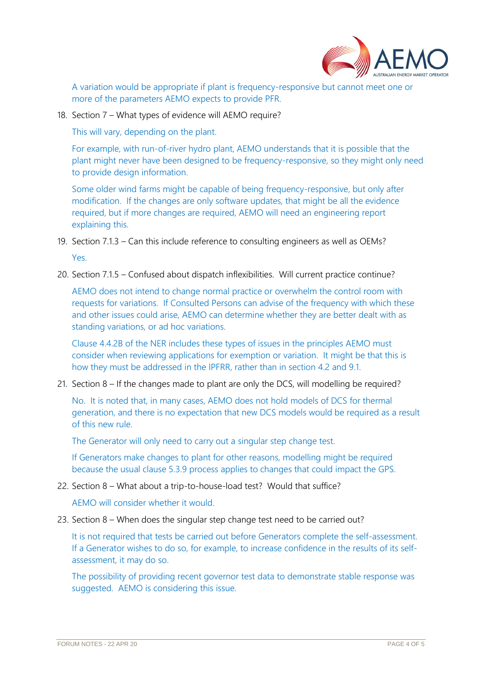

A variation would be appropriate if plant is frequency-responsive but cannot meet one or more of the parameters AEMO expects to provide PFR.

18. Section 7 – What types of evidence will AEMO require?

This will vary, depending on the plant.

For example, with run-of-river hydro plant, AEMO understands that it is possible that the plant might never have been designed to be frequency-responsive, so they might only need to provide design information.

Some older wind farms might be capable of being frequency-responsive, but only after modification. If the changes are only software updates, that might be all the evidence required, but if more changes are required, AEMO will need an engineering report explaining this.

- 19. Section 7.1.3 Can this include reference to consulting engineers as well as OEMs? Yes.
- 20. Section 7.1.5 Confused about dispatch inflexibilities. Will current practice continue?

AEMO does not intend to change normal practice or overwhelm the control room with requests for variations. If Consulted Persons can advise of the frequency with which these and other issues could arise, AEMO can determine whether they are better dealt with as standing variations, or ad hoc variations.

Clause 4.4.2B of the NER includes these types of issues in the principles AEMO must consider when reviewing applications for exemption or variation. It might be that this is how they must be addressed in the IPFRR, rather than in section 4.2 and 9.1.

21. Section 8 – If the changes made to plant are only the DCS, will modelling be required?

No. It is noted that, in many cases, AEMO does not hold models of DCS for thermal generation, and there is no expectation that new DCS models would be required as a result of this new rule.

The Generator will only need to carry out a singular step change test.

If Generators make changes to plant for other reasons, modelling might be required because the usual clause 5.3.9 process applies to changes that could impact the GPS.

22. Section 8 – What about a trip-to-house-load test? Would that suffice?

AEMO will consider whether it would.

23. Section 8 – When does the singular step change test need to be carried out?

It is not required that tests be carried out before Generators complete the self-assessment. If a Generator wishes to do so, for example, to increase confidence in the results of its selfassessment, it may do so.

The possibility of providing recent governor test data to demonstrate stable response was suggested. AEMO is considering this issue.